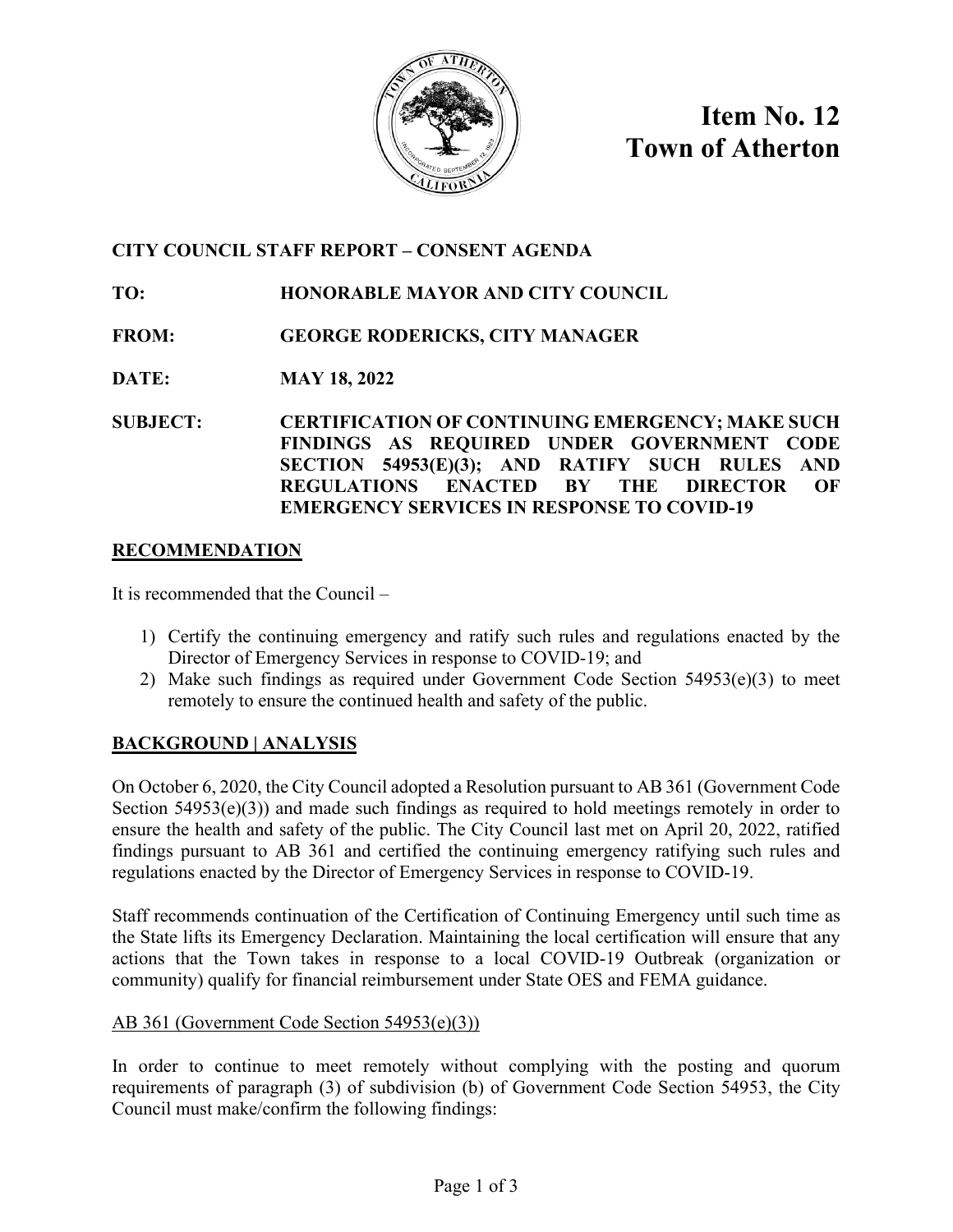

**Item No. 12 Town of Atherton**

# **CITY COUNCIL STAFF REPORT – CONSENT AGENDA**

## **TO: HONORABLE MAYOR AND CITY COUNCIL**

- **FROM: GEORGE RODERICKS, CITY MANAGER**
- **DATE: MAY 18, 2022**
- **SUBJECT: CERTIFICATION OF CONTINUING EMERGENCY; MAKE SUCH FINDINGS AS REQUIRED UNDER GOVERNMENT CODE SECTION 54953(E)(3); AND RATIFY SUCH RULES AND REGULATIONS ENACTED BY THE DIRECTOR OF EMERGENCY SERVICES IN RESPONSE TO COVID-19**

### **RECOMMENDATION**

It is recommended that the Council –

- 1) Certify the continuing emergency and ratify such rules and regulations enacted by the Director of Emergency Services in response to COVID-19; and
- 2) Make such findings as required under Government Code Section 54953(e)(3) to meet remotely to ensure the continued health and safety of the public.

## **BACKGROUND | ANALYSIS**

On October 6, 2020, the City Council adopted a Resolution pursuant to AB 361 (Government Code Section  $54953(e)(3)$  and made such findings as required to hold meetings remotely in order to ensure the health and safety of the public. The City Council last met on April 20, 2022, ratified findings pursuant to AB 361 and certified the continuing emergency ratifying such rules and regulations enacted by the Director of Emergency Services in response to COVID-19.

Staff recommends continuation of the Certification of Continuing Emergency until such time as the State lifts its Emergency Declaration. Maintaining the local certification will ensure that any actions that the Town takes in response to a local COVID-19 Outbreak (organization or community) qualify for financial reimbursement under State OES and FEMA guidance.

### AB 361 (Government Code Section 54953(e)(3))

In order to continue to meet remotely without complying with the posting and quorum requirements of paragraph (3) of subdivision (b) of Government Code Section 54953, the City Council must make/confirm the following findings: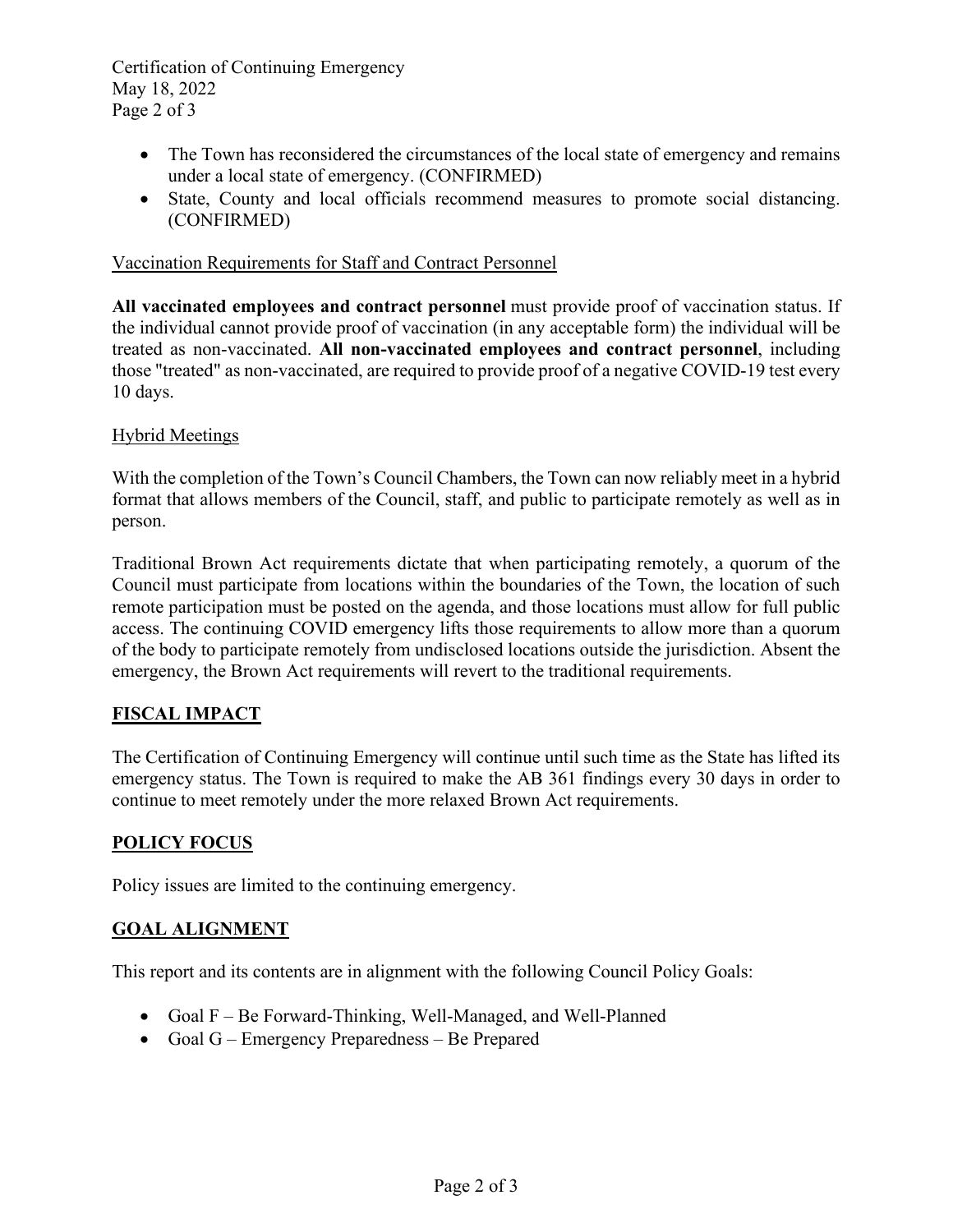Certification of Continuing Emergency May 18, 2022 Page 2 of 3

- The Town has reconsidered the circumstances of the local state of emergency and remains under a local state of emergency. (CONFIRMED)
- State, County and local officials recommend measures to promote social distancing. (CONFIRMED)

#### Vaccination Requirements for Staff and Contract Personnel

**All vaccinated employees and contract personnel** must provide proof of vaccination status. If the individual cannot provide proof of vaccination (in any acceptable form) the individual will be treated as non-vaccinated. **All non-vaccinated employees and contract personnel**, including those "treated" as non-vaccinated, are required to provide proof of a negative COVID-19 test every 10 days.

#### Hybrid Meetings

With the completion of the Town's Council Chambers, the Town can now reliably meet in a hybrid format that allows members of the Council, staff, and public to participate remotely as well as in person.

Traditional Brown Act requirements dictate that when participating remotely, a quorum of the Council must participate from locations within the boundaries of the Town, the location of such remote participation must be posted on the agenda, and those locations must allow for full public access. The continuing COVID emergency lifts those requirements to allow more than a quorum of the body to participate remotely from undisclosed locations outside the jurisdiction. Absent the emergency, the Brown Act requirements will revert to the traditional requirements.

### **FISCAL IMPACT**

The Certification of Continuing Emergency will continue until such time as the State has lifted its emergency status. The Town is required to make the AB 361 findings every 30 days in order to continue to meet remotely under the more relaxed Brown Act requirements.

### **POLICY FOCUS**

Policy issues are limited to the continuing emergency.

### **GOAL ALIGNMENT**

This report and its contents are in alignment with the following Council Policy Goals:

- Goal F Be Forward-Thinking, Well-Managed, and Well-Planned
- Goal G Emergency Preparedness Be Prepared